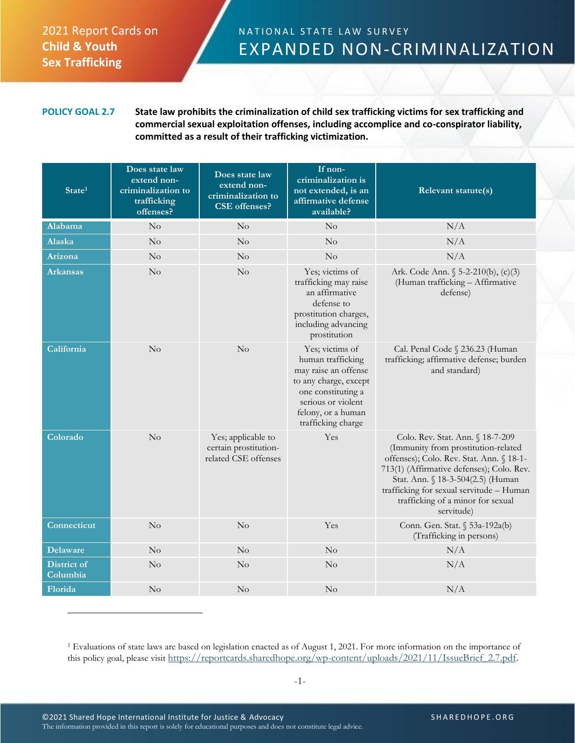## 2021 Report Cards on **Child & Youth Sex Trafficking**

## NATIONAL STATE LAW SURVEY EXPANDED NON-CRIMINALIZATION

## **POLICY GOAL 2.7 State law prohibits the criminalization of child sex trafficking victims for sex trafficking and commercial sexual exploitation offenses, including accomplice and co-conspirator liability, committed as a result of their trafficking victimization.**

| State <sup>1</sup>             | Does state law<br>extend non-<br>criminalization to<br>trafficking<br>offenses? | Does state law<br>extend non-<br>criminalization to<br><b>CSE</b> offenses? | If non-<br>criminalization is<br>not extended, is an<br>affirmative defense<br>available?                                                                                     | Relevant statute(s)                                                                                                                                                                                                                                                                                  |
|--------------------------------|---------------------------------------------------------------------------------|-----------------------------------------------------------------------------|-------------------------------------------------------------------------------------------------------------------------------------------------------------------------------|------------------------------------------------------------------------------------------------------------------------------------------------------------------------------------------------------------------------------------------------------------------------------------------------------|
| Alabama                        | No                                                                              | No                                                                          | No                                                                                                                                                                            | N/A                                                                                                                                                                                                                                                                                                  |
| <b>Alaska</b>                  | No                                                                              | No                                                                          | No                                                                                                                                                                            | N/A                                                                                                                                                                                                                                                                                                  |
| Arizona                        | No                                                                              | No                                                                          | No                                                                                                                                                                            | N/A                                                                                                                                                                                                                                                                                                  |
| <b>Arkansas</b>                | No                                                                              | $\rm No$                                                                    | Yes; victims of<br>trafficking may raise<br>an affirmative<br>defense to<br>prostitution charges,<br>including advancing<br>prostitution                                      | Ark. Code Ann. § 5-2-210(b), (c)(3)<br>(Human trafficking - Affirmative<br>defense)                                                                                                                                                                                                                  |
| California                     | $\rm No$                                                                        | No                                                                          | Yes; victims of<br>human trafficking<br>may raise an offense<br>to any charge, except<br>one constituting a<br>serious or violent<br>felony, or a human<br>trafficking charge | Cal. Penal Code § 236.23 (Human<br>trafficking; affirmative defense; burden<br>and standard)                                                                                                                                                                                                         |
| Colorado                       | $\rm No$                                                                        | Yes; applicable to<br>certain prostitution-<br>related CSE offenses         | <b>Yes</b>                                                                                                                                                                    | Colo. Rev. Stat. Ann. § 18-7-209<br>(Immunity from prostitution-related<br>offenses); Colo. Rev. Stat. Ann. § 18-1-<br>713(1) (Affirmative defenses); Colo. Rev.<br>Stat. Ann. § 18-3-504(2.5) (Human<br>trafficking for sexual servitude - Human<br>trafficking of a minor for sexual<br>servitude) |
| Connecticut                    | No                                                                              | No                                                                          | Yes                                                                                                                                                                           | Conn. Gen. Stat. § 53a-192a(b)<br>(Trafficking in persons)                                                                                                                                                                                                                                           |
| Delaware                       | No                                                                              | No                                                                          | No                                                                                                                                                                            | N/A                                                                                                                                                                                                                                                                                                  |
| <b>District of</b><br>Columbia | No                                                                              | $\rm No$                                                                    | $\rm No$                                                                                                                                                                      | N/A                                                                                                                                                                                                                                                                                                  |
| Florida                        | No                                                                              | No                                                                          | No                                                                                                                                                                            | N/A                                                                                                                                                                                                                                                                                                  |

<sup>1</sup> Evaluations of state laws are based on legislation enacted as of August 1, 2021. For more information on the importance of this policy goal, please visit [https://reportcards.sharedhope.org/wp-content/uploads/2021/11/IssueBrief\\_2.7.pdf.](https://reportcards.sharedhope.org/wp-content/uploads/2021/11/IssueBrief_2.7.pdf)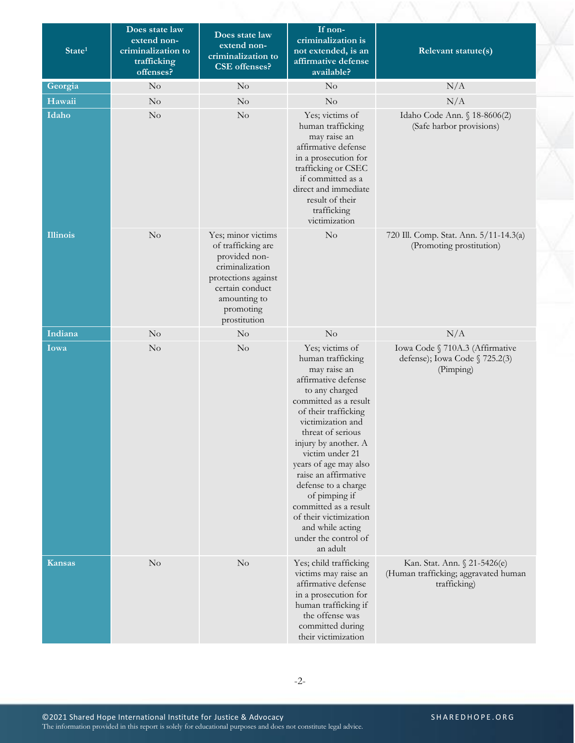| State <sup>1</sup> | Does state law<br>extend non-<br>criminalization to<br>trafficking<br>offenses? | Does state law<br>extend non-<br>criminalization to<br><b>CSE</b> offenses?                                                                                         | If non-<br>criminalization is<br>not extended, is an<br>affirmative defense<br>available?                                                                                                                                                                                                                                                                                                                                               | Relevant statute(s)                                                                  |
|--------------------|---------------------------------------------------------------------------------|---------------------------------------------------------------------------------------------------------------------------------------------------------------------|-----------------------------------------------------------------------------------------------------------------------------------------------------------------------------------------------------------------------------------------------------------------------------------------------------------------------------------------------------------------------------------------------------------------------------------------|--------------------------------------------------------------------------------------|
| Georgia            | No                                                                              | No                                                                                                                                                                  | $\rm No$                                                                                                                                                                                                                                                                                                                                                                                                                                | N/A                                                                                  |
| Hawaii             | $\rm No$                                                                        | $\rm No$                                                                                                                                                            | $\rm No$                                                                                                                                                                                                                                                                                                                                                                                                                                | N/A                                                                                  |
| Idaho              | $\rm No$                                                                        | $\rm No$                                                                                                                                                            | Yes; victims of<br>human trafficking<br>may raise an<br>affirmative defense<br>in a prosecution for<br>trafficking or CSEC<br>if committed as a<br>direct and immediate<br>result of their<br>trafficking<br>victimization                                                                                                                                                                                                              | Idaho Code Ann. § 18-8606(2)<br>(Safe harbor provisions)                             |
| <b>Illinois</b>    | $\rm No$                                                                        | Yes; minor victims<br>of trafficking are<br>provided non-<br>criminalization<br>protections against<br>certain conduct<br>amounting to<br>promoting<br>prostitution | No                                                                                                                                                                                                                                                                                                                                                                                                                                      | 720 Ill. Comp. Stat. Ann. 5/11-14.3(a)<br>(Promoting prostitution)                   |
| Indiana            | $\rm No$                                                                        | $\rm No$                                                                                                                                                            | $\rm No$                                                                                                                                                                                                                                                                                                                                                                                                                                | N/A                                                                                  |
| Iowa               | $\rm No$                                                                        | $\rm No$                                                                                                                                                            | Yes; victims of<br>human trafficking<br>may raise an<br>affirmative defense<br>to any charged<br>committed as a result<br>of their trafficking<br>victimization and<br>threat of serious<br>injury by another. A<br>victim under 21<br>years of age may also<br>raise an affirmative<br>defense to a charge<br>of pimping if<br>committed as a result<br>of their victimization<br>and while acting<br>under the control of<br>an adult | Iowa Code § 710A.3 (Affirmative<br>defense); Iowa Code § 725.2(3)<br>(Pimping)       |
| <b>Kansas</b>      | $\rm No$                                                                        | $\rm No$                                                                                                                                                            | Yes; child trafficking<br>victims may raise an<br>affirmative defense<br>in a prosecution for<br>human trafficking if<br>the offense was<br>committed during<br>their victimization                                                                                                                                                                                                                                                     | Kan. Stat. Ann. § 21-5426(e)<br>(Human trafficking; aggravated human<br>trafficking) |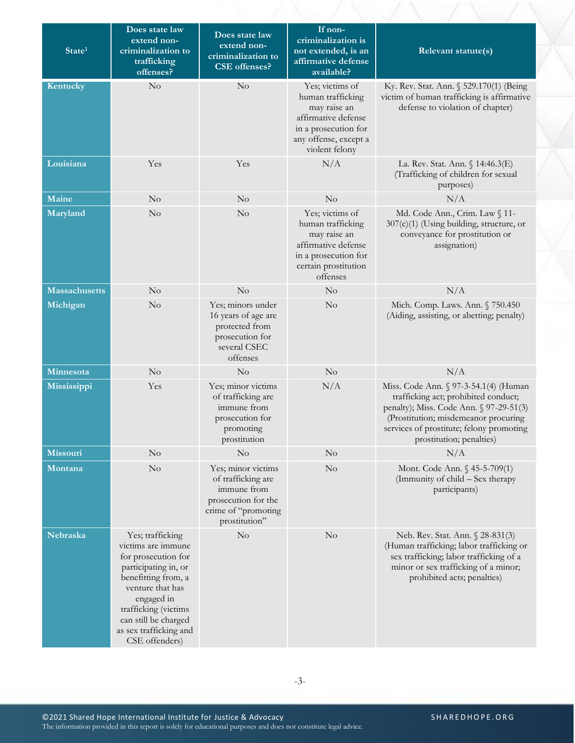| State <sup>1</sup>   | Does state law<br>extend non-<br>criminalization to<br>trafficking<br>offenses?                                                                                                                                                            | Does state law<br>extend non-<br>criminalization to<br><b>CSE</b> offenses?                                            | If non-<br>criminalization is<br>not extended, is an<br>affirmative defense<br>available?                                                      | Relevant statute(s)                                                                                                                                                                                                                      |
|----------------------|--------------------------------------------------------------------------------------------------------------------------------------------------------------------------------------------------------------------------------------------|------------------------------------------------------------------------------------------------------------------------|------------------------------------------------------------------------------------------------------------------------------------------------|------------------------------------------------------------------------------------------------------------------------------------------------------------------------------------------------------------------------------------------|
| Kentucky             | No                                                                                                                                                                                                                                         | No                                                                                                                     | Yes; victims of<br>human trafficking<br>may raise an<br>affirmative defense<br>in a prosecution for<br>any offense, except a<br>violent felony | Ky. Rev. Stat. Ann. § 529.170(1) (Being<br>victim of human trafficking is affirmative<br>defense to violation of chapter)                                                                                                                |
| Louisiana            | Yes                                                                                                                                                                                                                                        | Yes                                                                                                                    | N/A                                                                                                                                            | La. Rev. Stat. Ann. § 14:46.3(E)<br>(Trafficking of children for sexual<br>purposes)                                                                                                                                                     |
| Maine                | $\rm No$                                                                                                                                                                                                                                   | No                                                                                                                     | No                                                                                                                                             | N/A                                                                                                                                                                                                                                      |
| Maryland             | $\rm No$                                                                                                                                                                                                                                   | No                                                                                                                     | Yes; victims of<br>human trafficking<br>may raise an<br>affirmative defense<br>in a prosecution for<br>certain prostitution<br>offenses        | Md. Code Ann., Crim. Law § 11-<br>307(c)(1) (Using building, structure, or<br>conveyance for prostitution or<br>assignation)                                                                                                             |
| <b>Massachusetts</b> | $\rm No$                                                                                                                                                                                                                                   | No                                                                                                                     | $\rm No$                                                                                                                                       | N/A                                                                                                                                                                                                                                      |
| Michigan             | $\rm No$                                                                                                                                                                                                                                   | Yes; minors under<br>16 years of age are<br>protected from<br>prosecution for<br>several CSEC<br>offenses              | No                                                                                                                                             | Mich. Comp. Laws. Ann. § 750.450<br>(Aiding, assisting, or abetting; penalty)                                                                                                                                                            |
| Minnesota            | $\rm No$                                                                                                                                                                                                                                   | No                                                                                                                     | $\rm No$                                                                                                                                       | N/A                                                                                                                                                                                                                                      |
| Mississippi          | Yes                                                                                                                                                                                                                                        | Yes; minor victims<br>of trafficking are<br>immune from<br>prosecution for<br>promoting<br>prostitution                | N/A                                                                                                                                            | Miss. Code Ann. § 97-3-54.1(4) (Human<br>trafficking act; prohibited conduct;<br>penalty); Miss. Code Ann. § 97-29-51(3)<br>(Prostitution; misdemeanor procuring<br>services of prostitute; felony promoting<br>prostitution; penalties) |
| Missouri             | $\rm No$                                                                                                                                                                                                                                   | $\rm No$                                                                                                               | $\rm No$                                                                                                                                       | N/A                                                                                                                                                                                                                                      |
| <b>Montana</b>       | $\rm No$                                                                                                                                                                                                                                   | Yes; minor victims<br>of trafficking are<br>immune from<br>prosecution for the<br>crime of "promoting<br>prostitution" | No                                                                                                                                             | Mont. Code Ann. § 45-5-709(1)<br>(Immunity of child - Sex therapy<br>participants)                                                                                                                                                       |
| Nebraska             | Yes; trafficking<br>victims are immune<br>for prosecution for<br>participating in, or<br>benefitting from, a<br>venture that has<br>engaged in<br>trafficking (victims<br>can still be charged<br>as sex trafficking and<br>CSE offenders) | $\rm No$                                                                                                               | No                                                                                                                                             | Neb. Rev. Stat. Ann. § 28-831(3)<br>(Human trafficking; labor trafficking or<br>sex trafficking; labor trafficking of a<br>minor or sex trafficking of a minor;<br>prohibited acts; penalties)                                           |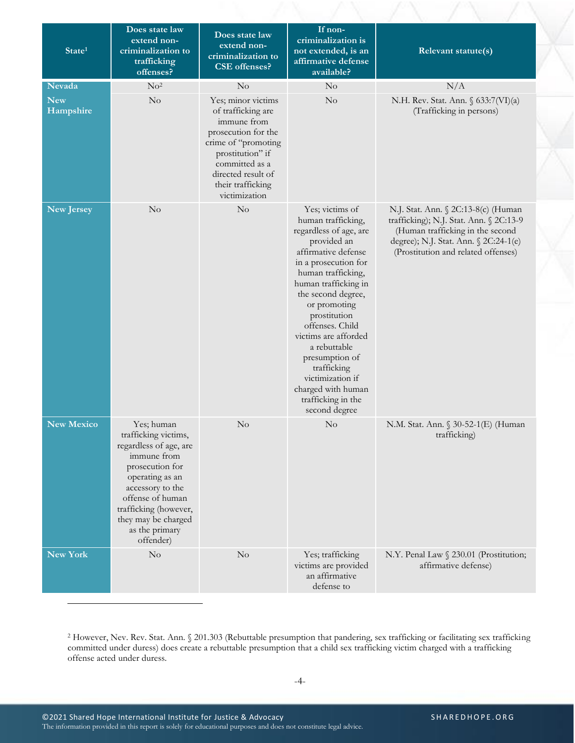| State <sup>1</sup>      | Does state law<br>extend non-<br>criminalization to<br>trafficking<br>offenses?                                                                                                                                                          | Does state law<br>extend non-<br>criminalization to<br><b>CSE</b> offenses?                                                                                                                             | If non-<br>criminalization is<br>not extended, is an<br>affirmative defense<br>available?                                                                                                                                                                                                                                                                                                                      | Relevant statute(s)                                                                                                                                                                                |
|-------------------------|------------------------------------------------------------------------------------------------------------------------------------------------------------------------------------------------------------------------------------------|---------------------------------------------------------------------------------------------------------------------------------------------------------------------------------------------------------|----------------------------------------------------------------------------------------------------------------------------------------------------------------------------------------------------------------------------------------------------------------------------------------------------------------------------------------------------------------------------------------------------------------|----------------------------------------------------------------------------------------------------------------------------------------------------------------------------------------------------|
| Nevada                  | No <sup>2</sup>                                                                                                                                                                                                                          | No                                                                                                                                                                                                      | No                                                                                                                                                                                                                                                                                                                                                                                                             | N/A                                                                                                                                                                                                |
| <b>New</b><br>Hampshire | No                                                                                                                                                                                                                                       | Yes; minor victims<br>of trafficking are<br>immune from<br>prosecution for the<br>crime of "promoting<br>prostitution" if<br>committed as a<br>directed result of<br>their trafficking<br>victimization | No                                                                                                                                                                                                                                                                                                                                                                                                             | N.H. Rev. Stat. Ann. § 633:7(VI)(a)<br>(Trafficking in persons)                                                                                                                                    |
| <b>New Jersey</b>       | No                                                                                                                                                                                                                                       | $\rm No$                                                                                                                                                                                                | Yes; victims of<br>human trafficking,<br>regardless of age, are<br>provided an<br>affirmative defense<br>in a prosecution for<br>human trafficking,<br>human trafficking in<br>the second degree,<br>or promoting<br>prostitution<br>offenses. Child<br>victims are afforded<br>a rebuttable<br>presumption of<br>trafficking<br>victimization if<br>charged with human<br>trafficking in the<br>second degree | N.J. Stat. Ann. § 2C:13-8(c) (Human<br>trafficking); N.J. Stat. Ann. § 2C:13-9<br>(Human trafficking in the second<br>degree); N.J. Stat. Ann. § 2C:24-1(e)<br>(Prostitution and related offenses) |
| <b>New Mexico</b>       | Yes; human<br>trafficking victims,<br>regardless of age, are<br>immune from<br>prosecution for<br>operating as an<br>accessory to the<br>offense of human<br>trafficking (however,<br>they may be charged<br>as the primary<br>offender) | No                                                                                                                                                                                                      | $\rm No$                                                                                                                                                                                                                                                                                                                                                                                                       | N.M. Stat. Ann. § 30-52-1(E) (Human<br>trafficking)                                                                                                                                                |
| <b>New York</b>         | No                                                                                                                                                                                                                                       | No                                                                                                                                                                                                      | Yes; trafficking<br>victims are provided<br>an affirmative<br>defense to                                                                                                                                                                                                                                                                                                                                       | N.Y. Penal Law § 230.01 (Prostitution;<br>affirmative defense)                                                                                                                                     |

<sup>2</sup> However, Nev. Rev. Stat. Ann. § 201.303 (Rebuttable presumption that pandering, sex trafficking or facilitating sex trafficking committed under duress) does create a rebuttable presumption that a child sex trafficking victim charged with a trafficking offense acted under duress.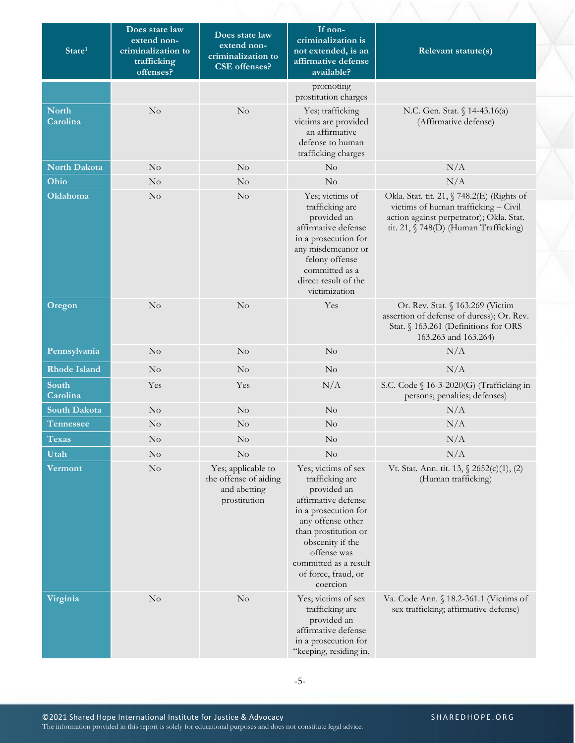| State <sup>1</sup>       | Does state law<br>extend non-<br>criminalization to<br>trafficking<br>offenses? | Does state law<br>extend non-<br>criminalization to<br><b>CSE</b> offenses? | If non-<br>criminalization is<br>not extended, is an<br>affirmative defense<br>available?                                                                                                                                                        | Relevant statute(s)                                                                                                                                                     |
|--------------------------|---------------------------------------------------------------------------------|-----------------------------------------------------------------------------|--------------------------------------------------------------------------------------------------------------------------------------------------------------------------------------------------------------------------------------------------|-------------------------------------------------------------------------------------------------------------------------------------------------------------------------|
|                          |                                                                                 |                                                                             | promoting<br>prostitution charges                                                                                                                                                                                                                |                                                                                                                                                                         |
| <b>North</b><br>Carolina | No                                                                              | No                                                                          | Yes; trafficking<br>victims are provided<br>an affirmative<br>defense to human<br>trafficking charges                                                                                                                                            | N.C. Gen. Stat. § 14-43.16(a)<br>(Affirmative defense)                                                                                                                  |
| North Dakota             | $\rm No$                                                                        | No                                                                          | No                                                                                                                                                                                                                                               | N/A                                                                                                                                                                     |
| Ohio                     | $\rm No$                                                                        | No                                                                          | No                                                                                                                                                                                                                                               | N/A                                                                                                                                                                     |
| Oklahoma                 | $\rm No$                                                                        | No                                                                          | Yes; victims of<br>trafficking are<br>provided an<br>affirmative defense<br>in a prosecution for<br>any misdemeanor or<br>felony offense<br>committed as a<br>direct result of the<br>victimization                                              | Okla. Stat. tit. 21, § 748.2(E) (Rights of<br>victims of human trafficking - Civil<br>action against perpetrator); Okla. Stat.<br>tit. 21, § 748(D) (Human Trafficking) |
| Oregon                   | No                                                                              | No                                                                          | Yes                                                                                                                                                                                                                                              | Or. Rev. Stat. § 163.269 (Victim<br>assertion of defense of duress); Or. Rev.<br>Stat. § 163.261 (Definitions for ORS<br>163.263 and 163.264)                           |
| Pennsylvania             | $\rm No$                                                                        | No                                                                          | No                                                                                                                                                                                                                                               | N/A                                                                                                                                                                     |
| <b>Rhode Island</b>      | $\rm No$                                                                        | No                                                                          | No                                                                                                                                                                                                                                               | N/A                                                                                                                                                                     |
| South<br>Carolina        | Yes                                                                             | Yes                                                                         | N/A                                                                                                                                                                                                                                              | S.C. Code § 16-3-2020(G) (Trafficking in<br>persons; penalties; defenses)                                                                                               |
| <b>South Dakota</b>      | $\rm No$                                                                        | No                                                                          | No                                                                                                                                                                                                                                               | N/A                                                                                                                                                                     |
| <b>Tennessee</b>         | $\rm No$                                                                        | No                                                                          | No                                                                                                                                                                                                                                               | N/A                                                                                                                                                                     |
| <b>Texas</b>             | No                                                                              | No                                                                          | No                                                                                                                                                                                                                                               | N/A                                                                                                                                                                     |
| Utah                     | $\rm No$                                                                        | No                                                                          | No                                                                                                                                                                                                                                               | N/A                                                                                                                                                                     |
| Vermont                  | $\rm No$                                                                        | Yes; applicable to<br>the offense of aiding<br>and abetting<br>prostitution | Yes; victims of sex<br>trafficking are<br>provided an<br>affirmative defense<br>in a prosecution for<br>any offense other<br>than prostitution or<br>obscenity if the<br>offense was<br>committed as a result<br>of force, fraud, or<br>coercion | Vt. Stat. Ann. tit. 13, § 2652(c)(1), (2)<br>(Human trafficking)                                                                                                        |
| Virginia                 | $\rm No$                                                                        | $\rm No$                                                                    | Yes; victims of sex<br>trafficking are<br>provided an<br>affirmative defense<br>in a prosecution for<br>"keeping, residing in,                                                                                                                   | Va. Code Ann. § 18.2-361.1 (Victims of<br>sex trafficking; affirmative defense)                                                                                         |